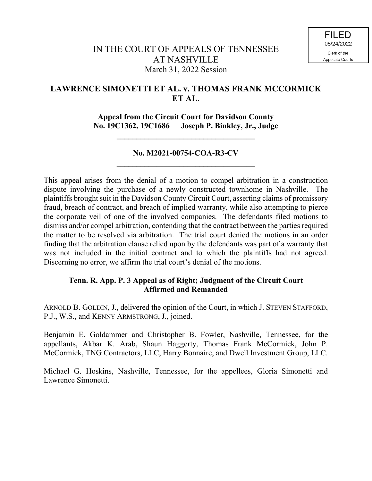# **LAWRENCE SIMONETTI ET AL. v. THOMAS FRANK MCCORMICK ET AL.**

**Appeal from the Circuit Court for Davidson County No. 19C1362, 19C1686 Joseph P. Binkley, Jr., Judge**

**\_\_\_\_\_\_\_\_\_\_\_\_\_\_\_\_\_\_\_\_\_\_\_\_\_\_\_\_\_\_\_\_\_\_\_**

## **No. M2021-00754-COA-R3-CV \_\_\_\_\_\_\_\_\_\_\_\_\_\_\_\_\_\_\_\_\_\_\_\_\_\_\_\_\_\_\_\_\_\_\_**

This appeal arises from the denial of a motion to compel arbitration in a construction dispute involving the purchase of a newly constructed townhome in Nashville. The plaintiffs brought suit in the Davidson County Circuit Court, asserting claims of promissory fraud, breach of contract, and breach of implied warranty, while also attempting to pierce the corporate veil of one of the involved companies. The defendants filed motions to dismiss and/or compel arbitration, contending that the contract between the parties required the matter to be resolved via arbitration. The trial court denied the motions in an order finding that the arbitration clause relied upon by the defendants was part of a warranty that was not included in the initial contract and to which the plaintiffs had not agreed. Discerning no error, we affirm the trial court's denial of the motions.

## **Tenn. R. App. P. 3 Appeal as of Right; Judgment of the Circuit Court Affirmed and Remanded**

ARNOLD B. GOLDIN, J., delivered the opinion of the Court, in which J. STEVEN STAFFORD, P.J., W.S., and KENNY ARMSTRONG, J., joined.

Benjamin E. Goldammer and Christopher B. Fowler, Nashville, Tennessee, for the appellants, Akbar K. Arab, Shaun Haggerty, Thomas Frank McCormick, John P. McCormick, TNG Contractors, LLC, Harry Bonnaire, and Dwell Investment Group, LLC.

Michael G. Hoskins, Nashville, Tennessee, for the appellees, Gloria Simonetti and Lawrence Simonetti.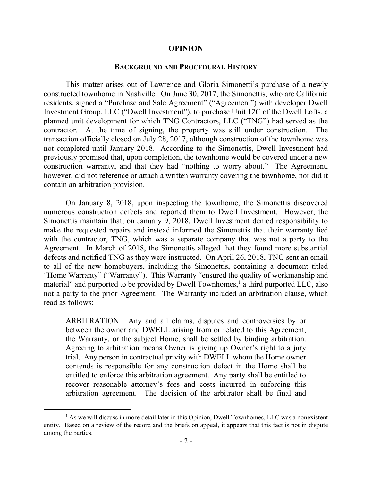#### **OPINION**

#### **BACKGROUND AND PROCEDURAL HISTORY**

This matter arises out of Lawrence and Gloria Simonetti's purchase of a newly constructed townhome in Nashville. On June 30, 2017, the Simonettis, who are California residents, signed a "Purchase and Sale Agreement" ("Agreement") with developer Dwell Investment Group, LLC ("Dwell Investment"), to purchase Unit 12C of the Dwell Lofts, a planned unit development for which TNG Contractors, LLC ("TNG") had served as the contractor. At the time of signing, the property was still under construction. The transaction officially closed on July 28, 2017, although construction of the townhome was not completed until January 2018. According to the Simonettis, Dwell Investment had previously promised that, upon completion, the townhome would be covered under a new construction warranty, and that they had "nothing to worry about." The Agreement, however, did not reference or attach a written warranty covering the townhome, nor did it contain an arbitration provision.

On January 8, 2018, upon inspecting the townhome, the Simonettis discovered numerous construction defects and reported them to Dwell Investment. However, the Simonettis maintain that, on January 9, 2018, Dwell Investment denied responsibility to make the requested repairs and instead informed the Simonettis that their warranty lied with the contractor, TNG, which was a separate company that was not a party to the Agreement. In March of 2018, the Simonettis alleged that they found more substantial defects and notified TNG as they were instructed. On April 26, 2018, TNG sent an email to all of the new homebuyers, including the Simonettis, containing a document titled "Home Warranty" ("Warranty"). This Warranty "ensured the quality of workmanship and material" and purported to be provided by Dwell Townhomes,<sup>1</sup> a third purported LLC, also not a party to the prior Agreement. The Warranty included an arbitration clause, which read as follows:

ARBITRATION. Any and all claims, disputes and controversies by or between the owner and DWELL arising from or related to this Agreement, the Warranty, or the subject Home, shall be settled by binding arbitration. Agreeing to arbitration means Owner is giving up Owner's right to a jury trial. Any person in contractual privity with DWELL whom the Home owner contends is responsible for any construction defect in the Home shall be entitled to enforce this arbitration agreement. Any party shall be entitled to recover reasonable attorney's fees and costs incurred in enforcing this arbitration agreement. The decision of the arbitrator shall be final and

<sup>&</sup>lt;sup>1</sup> As we will discuss in more detail later in this Opinion, Dwell Townhomes, LLC was a nonexistent entity. Based on a review of the record and the briefs on appeal, it appears that this fact is not in dispute among the parties.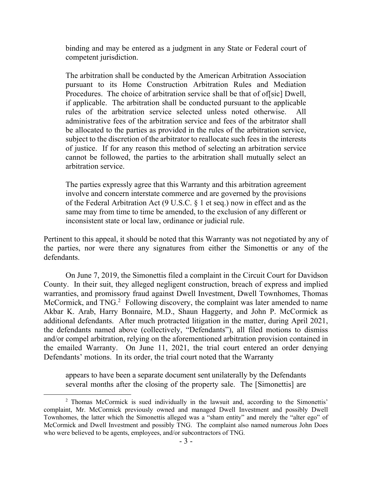binding and may be entered as a judgment in any State or Federal court of competent jurisdiction.

The arbitration shall be conducted by the American Arbitration Association pursuant to its Home Construction Arbitration Rules and Mediation Procedures. The choice of arbitration service shall be that of of sic Dwell, if applicable. The arbitration shall be conducted pursuant to the applicable rules of the arbitration service selected unless noted otherwise. All administrative fees of the arbitration service and fees of the arbitrator shall be allocated to the parties as provided in the rules of the arbitration service, subject to the discretion of the arbitrator to reallocate such fees in the interests of justice. If for any reason this method of selecting an arbitration service cannot be followed, the parties to the arbitration shall mutually select an arbitration service.

The parties expressly agree that this Warranty and this arbitration agreement involve and concern interstate commerce and are governed by the provisions of the Federal Arbitration Act (9 U.S.C. § 1 et seq.) now in effect and as the same may from time to time be amended, to the exclusion of any different or inconsistent state or local law, ordinance or judicial rule.

Pertinent to this appeal, it should be noted that this Warranty was not negotiated by any of the parties, nor were there any signatures from either the Simonettis or any of the defendants.

On June 7, 2019, the Simonettis filed a complaint in the Circuit Court for Davidson County. In their suit, they alleged negligent construction, breach of express and implied warranties, and promissory fraud against Dwell Investment, Dwell Townhomes, Thomas McCormick, and TNG.<sup>2</sup> Following discovery, the complaint was later amended to name Akbar K. Arab, Harry Bonnaire, M.D., Shaun Haggerty, and John P. McCormick as additional defendants. After much protracted litigation in the matter, during April 2021, the defendants named above (collectively, "Defendants"), all filed motions to dismiss and/or compel arbitration, relying on the aforementioned arbitration provision contained in the emailed Warranty. On June 11, 2021, the trial court entered an order denying Defendants' motions. In its order, the trial court noted that the Warranty

appears to have been a separate document sent unilaterally by the Defendants several months after the closing of the property sale. The [Simonettis] are

 $\overline{a}$ 

<sup>&</sup>lt;sup>2</sup> Thomas McCormick is sued individually in the lawsuit and, according to the Simonettis' complaint, Mr. McCormick previously owned and managed Dwell Investment and possibly Dwell Townhomes, the latter which the Simonettis alleged was a "sham entity" and merely the "alter ego" of McCormick and Dwell Investment and possibly TNG. The complaint also named numerous John Does who were believed to be agents, employees, and/or subcontractors of TNG.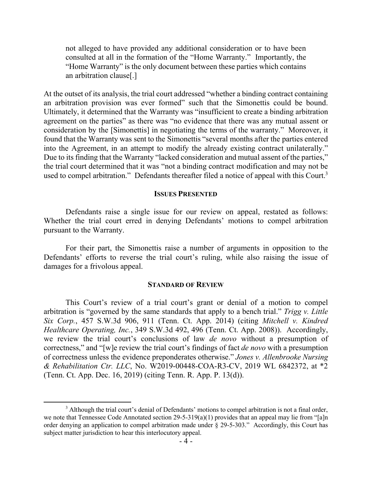not alleged to have provided any additional consideration or to have been consulted at all in the formation of the "Home Warranty." Importantly, the "Home Warranty" is the only document between these parties which contains an arbitration clause[.]

At the outset of its analysis, the trial court addressed "whether a binding contract containing an arbitration provision was ever formed" such that the Simonettis could be bound. Ultimately, it determined that the Warranty was "insufficient to create a binding arbitration agreement on the parties" as there was "no evidence that there was any mutual assent or consideration by the [Simonettis] in negotiating the terms of the warranty." Moreover, it found that the Warranty was sent to the Simonettis "several months after the parties entered into the Agreement, in an attempt to modify the already existing contract unilaterally." Due to its finding that the Warranty "lacked consideration and mutual assent of the parties," the trial court determined that it was "not a binding contract modification and may not be used to compel arbitration." Defendants thereafter filed a notice of appeal with this Court.<sup>3</sup>

#### **ISSUES PRESENTED**

Defendants raise a single issue for our review on appeal, restated as follows: Whether the trial court erred in denying Defendants' motions to compel arbitration pursuant to the Warranty.

For their part, the Simonettis raise a number of arguments in opposition to the Defendants' efforts to reverse the trial court's ruling, while also raising the issue of damages for a frivolous appeal.

#### **STANDARD OF REVIEW**

This Court's review of a trial court's grant or denial of a motion to compel arbitration is "governed by the same standards that apply to a bench trial." *Trigg v. Little Six Corp.*, 457 S.W.3d 906, 911 (Tenn. Ct. App. 2014) (citing *Mitchell v. Kindred Healthcare Operating, Inc.*, 349 S.W.3d 492, 496 (Tenn. Ct. App. 2008)). Accordingly, we review the trial court's conclusions of law *de novo* without a presumption of correctness," and "[w]e review the trial court's findings of fact *de novo* with a presumption of correctness unless the evidence preponderates otherwise." *Jones v. Allenbrooke Nursing & Rehabilitation Ctr. LLC*, No. W2019-00448-COA-R3-CV, 2019 WL 6842372, at \*2 (Tenn. Ct. App. Dec. 16, 2019) (citing Tenn. R. App. P. 13(d)).

<sup>&</sup>lt;sup>3</sup> Although the trial court's denial of Defendants' motions to compel arbitration is not a final order, we note that Tennessee Code Annotated section 29-5-319(a)(1) provides that an appeal may lie from "[a]n order denying an application to compel arbitration made under § 29-5-303." Accordingly, this Court has subject matter jurisdiction to hear this interlocutory appeal.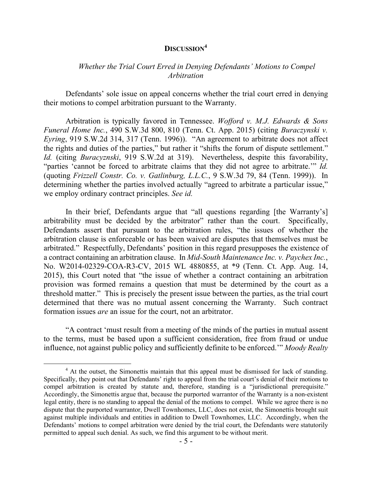## **DISCUSSION<sup>4</sup>**

## *Whether the Trial Court Erred in Denying Defendants' Motions to Compel Arbitration*

Defendants' sole issue on appeal concerns whether the trial court erred in denying their motions to compel arbitration pursuant to the Warranty.

Arbitration is typically favored in Tennessee. *Wofford v. M.J. Edwards & Sons Funeral Home Inc.*, 490 S.W.3d 800, 810 (Tenn. Ct. App. 2015) (citing *Buraczynski v. Eyring*, 919 S.W.2d 314, 317 (Tenn. 1996)). "An agreement to arbitrate does not affect the rights and duties of the parties," but rather it "shifts the forum of dispute settlement." *Id.* (citing *Buracyznski*, 919 S.W.2d at 319). Nevertheless, despite this favorability, "parties 'cannot be forced to arbitrate claims that they did not agree to arbitrate.'" *Id.*  (quoting *Frizzell Constr. Co. v. Gatlinburg, L.L.C.*, 9 S.W.3d 79, 84 (Tenn. 1999)). In determining whether the parties involved actually "agreed to arbitrate a particular issue," we employ ordinary contract principles. *See id.* 

In their brief, Defendants argue that "all questions regarding [the Warranty's] arbitrability must be decided by the arbitrator" rather than the court. Specifically, Defendants assert that pursuant to the arbitration rules, "the issues of whether the arbitration clause is enforceable or has been waived are disputes that themselves must be arbitrated." Respectfully, Defendants' position in this regard presupposes the existence of a contract containing an arbitration clause. In *Mid-South Maintenance Inc. v. Paychex Inc.*, No. W2014-02329-COA-R3-CV, 2015 WL 4880855, at \*9 (Tenn. Ct. App. Aug. 14, 2015), this Court noted that "the issue of whether a contract containing an arbitration provision was formed remains a question that must be determined by the court as a threshold matter." This is precisely the present issue between the parties, as the trial court determined that there was no mutual assent concerning the Warranty. Such contract formation issues *are* an issue for the court, not an arbitrator.

"A contract 'must result from a meeting of the minds of the parties in mutual assent to the terms, must be based upon a sufficient consideration, free from fraud or undue influence, not against public policy and sufficiently definite to be enforced.'" *Moody Realty* 

 $\overline{a}$ 

<sup>&</sup>lt;sup>4</sup> At the outset, the Simonettis maintain that this appeal must be dismissed for lack of standing. Specifically, they point out that Defendants' right to appeal from the trial court's denial of their motions to compel arbitration is created by statute and, therefore, standing is a "jurisdictional prerequisite." Accordingly, the Simonettis argue that, because the purported warrantor of the Warranty is a non-existent legal entity, there is no standing to appeal the denial of the motions to compel. While we agree there is no dispute that the purported warrantor, Dwell Townhomes, LLC, does not exist, the Simonettis brought suit against multiple individuals and entities in addition to Dwell Townhomes, LLC. Accordingly, when the Defendants' motions to compel arbitration were denied by the trial court, the Defendants were statutorily permitted to appeal such denial. As such, we find this argument to be without merit.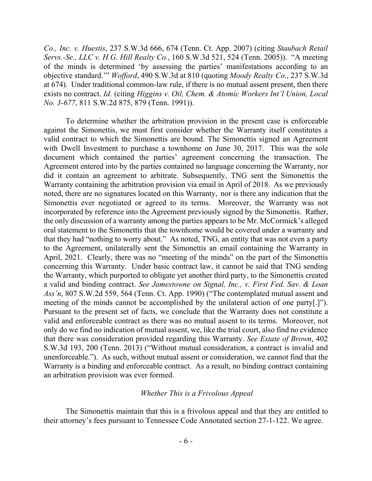*Co., Inc. v. Huestis*, 237 S.W.3d 666, 674 (Tenn. Ct. App. 2007) (citing *Staubach Retail Servs.-Se., LLC v. H.G. Hill Realty Co.*, 160 S.W.3d 521, 524 (Tenn. 2005)). "A meeting of the minds is determined 'by assessing the parties' manifestations according to an objective standard.'" *Wofford*, 490 S.W.3d at 810 (quoting *Moody Realty Co.*, 237 S.W.3d at 674). Under traditional common-law rule, if there is no mutual assent present, then there exists no contract. *Id.* (citing *Higgins v. Oil, Chem. & Atomic Workers Int'l Union, Local No. 3-677*, 811 S.W.2d 875, 879 (Tenn. 1991)).

To determine whether the arbitration provision in the present case is enforceable against the Simonettis, we must first consider whether the Warranty itself constitutes a valid contract to which the Simonettis are bound. The Simonettis signed an Agreement with Dwell Investment to purchase a townhome on June 30, 2017. This was the sole document which contained the parties' agreement concerning the transaction. The Agreement entered into by the parties contained no language concerning the Warranty, nor did it contain an agreement to arbitrate. Subsequently, TNG sent the Simonettis the Warranty containing the arbitration provision via email in April of 2018. As we previously noted, there are no signatures located on this Warranty, nor is there any indication that the Simonettis ever negotiated or agreed to its terms. Moreover, the Warranty was not incorporated by reference into the Agreement previously signed by the Simonettis. Rather, the only discussion of a warranty among the parties appears to be Mr. McCormick's alleged oral statement to the Simonettis that the townhome would be covered under a warranty and that they had "nothing to worry about." As noted, TNG, an entity that was not even a party to the Agreement, unilaterally sent the Simonettis an email containing the Warranty in April, 2021. Clearly, there was no "meeting of the minds" on the part of the Simonettis concerning this Warranty. Under basic contract law, it cannot be said that TNG sending the Warranty, which purported to obligate yet another third party, to the Simonettis created a valid and binding contract. *See Jamestowne on Signal, Inc., v. First Fed. Sav. & Loan Ass'n*, 807 S.W.2d 559, 564 (Tenn. Ct. App. 1990) ("The contemplated mutual assent and meeting of the minds cannot be accomplished by the unilateral action of one party[.]"). Pursuant to the present set of facts, we conclude that the Warranty does not constitute a valid and enforceable contract as there was no mutual assent to its terms. Moreover, not only do we find no indication of mutual assent, we, like the trial court, also find no evidence that there was consideration provided regarding this Warranty. *See Estate of Brown*, 402 S.W.3d 193, 200 (Tenn. 2013) ("Without mutual consideration, a contract is invalid and unenforceable."). As such, without mutual assent or consideration, we cannot find that the Warranty is a binding and enforceable contract. As a result, no binding contract containing an arbitration provision was ever formed.

#### *Whether This is a Frivolous Appeal*

The Simonettis maintain that this is a frivolous appeal and that they are entitled to their attorney's fees pursuant to Tennessee Code Annotated section 27-1-122. We agree.